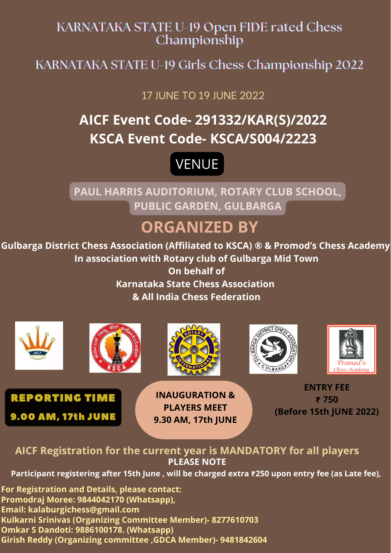### KARNATAKA STATE U-19 Open FIDE rated Chess Championship

KARNATAKA STATE U-19 Girls Chess Championship 2022

17 JUNE TO 19 JUNE 2022

**Gulbarga District Chess Association (Affiliated to KSCA) ® & Promod's Chess Academy In association with Rotary club of Gulbarga Mid Town On behalf of Karnataka State Chess Association**

#### **& All India Chess Federation**

# **ORGANIZED BY**



**PAUL HARRIS AUDITORIUM, ROTARY CLUB SCHOOL, PUBLIC GARDEN, GULBARGA**

# **AICF Event Code- 291332/KAR(S)/2022 KSCA Event Code- KSCA/S004/2223**



#### **AICF Registration for the current year is MANDATORY for all players PLEASE NOTE**

**Participant registering after 15th June , will be charged extra ₹250 upon entry fee (as Late fee),**

**For Registration and Details, please contact: Promodraj Moree: 9844042170 (Whatsapp), Email: kalaburgichess@gmail.com Kulkarni Srinivas (Organizing Committee Member)- 8277610703 Omkar S Dandoti: 9886100178. (Whatsapp) Girish Reddy (Organizing committee ,GDCA Member)- 9481842604**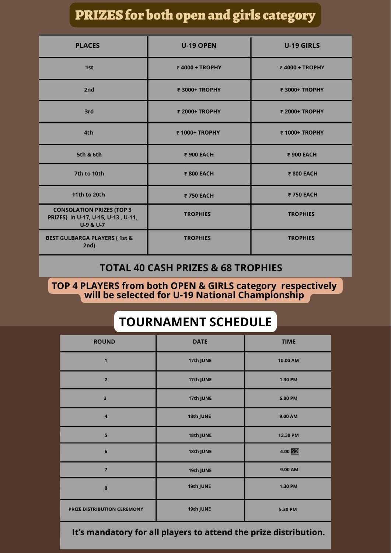## PRIZES for both openand girls category

| <b>PLACES</b>                                                                                   | <b>U-19 OPEN</b> | <b>U-19 GIRLS</b> |
|-------------------------------------------------------------------------------------------------|------------------|-------------------|
| 1st                                                                                             | ₹4000 + TROPHY   | ₹4000 + TROPHY    |
| 2nd                                                                                             | ₹ 3000+ TROPHY   | ₹ 3000+ TROPHY    |
| 3rd                                                                                             | ₹ 2000+ TROPHY   | ₹ 2000+ TROPHY    |
| 4th                                                                                             | ₹ 1000+ TROPHY   | ₹ 1000+ TROPHY    |
| <b>5th &amp; 6th</b>                                                                            | ₹ 900 EACH       | ₹ 900 EACH        |
| 7th to 10th                                                                                     | ₹ 800 EACH       | ₹ 800 EACH        |
| <b>11th to 20th</b>                                                                             | ₹750 EACH        | ₹750 EACH         |
| <b>CONSOLATION PRIZES (TOP 3)</b><br>PRIZES) in U-17, U-15, U-13, U-11,<br><b>U-9 &amp; U-7</b> | <b>TROPHIES</b>  | <b>TROPHIES</b>   |
| <b>BEST GULBARGA PLAYERS (1st &amp;</b><br>2nd)                                                 | <b>TROPHIES</b>  | <b>TROPHIES</b>   |

#### **TOTAL 40 CASH PRIZES & 68 TROPHIES**

## **TOURNAMENT SCHEDULE**

**TOP 4 PLAYERS from both OPEN & GIRLS category respectively will be selected for U-19 National Championship**

| <b>ROUND</b>                | <b>DATE</b> | <b>TIME</b>    |
|-----------------------------|-------------|----------------|
| $\mathbf{1}$                | 17th JUNE   | 10.00 AM       |
| $\overline{2}$              | 17th JUNE   | 1.30 PM        |
| 3                           | 17th JUNE   | 5.00 PM        |
| $\overline{\mathbf{4}}$     | 18th JUNE   | 9.00 AM        |
| 5                           | 18th JUNE   | 12.30 PM       |
| $6\phantom{1}6$             | 18th JUNE   | 4.00 PM        |
| $\overline{7}$              | 19th JUNE   | 9.00 AM        |
| 8                           | 19th JUNE   | <b>1.30 PM</b> |
| PRIZE DISTRIBUTION CEREMONY | 19th JUNE   | 5.30 PM        |

#### It's mandatory for all players to attend the prize distribution.